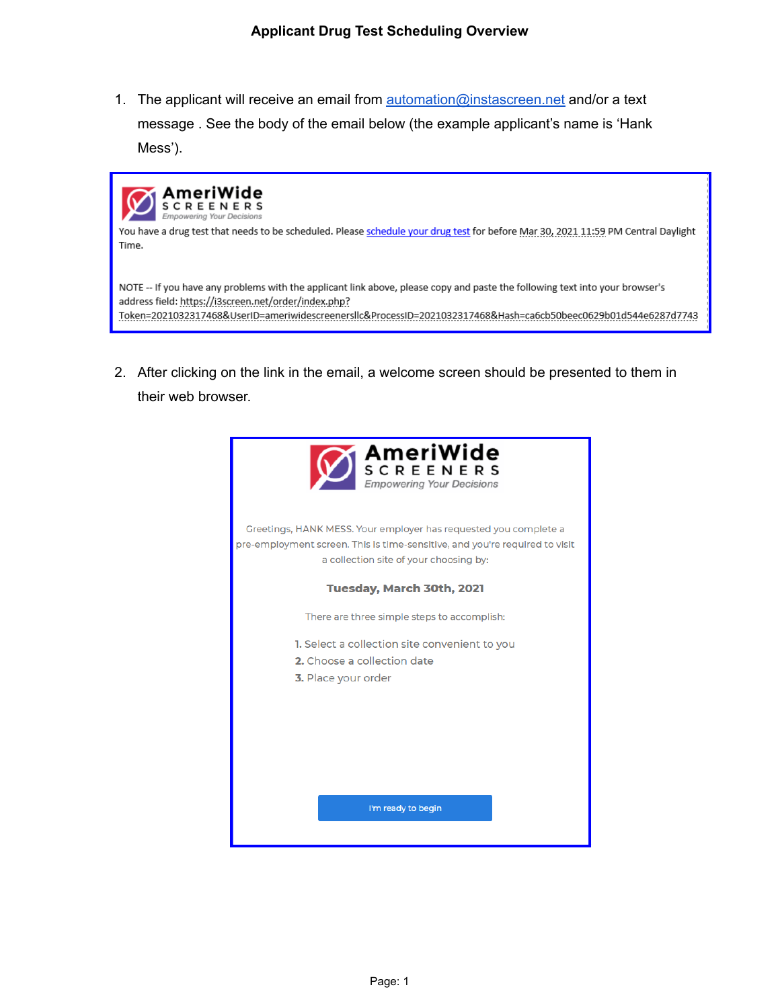1. The applicant will receive an email from **[automation@instascreen.net](mailto:automation@instascreen.net)** and/or a text message . See the body of the email below (the example applicant's name is 'Hank Mess').



2. After clicking on the link in the email, a welcome screen should be presented to them in their web browser.

| <b>MAMERIWIDE</b>                                                                                                                                                                         |
|-------------------------------------------------------------------------------------------------------------------------------------------------------------------------------------------|
| Greetings, HANK MESS. Your employer has requested you complete a<br>pre-employment screen. This is time-sensitive, and you're required to visit<br>a collection site of your choosing by: |
| Tuesday, March 30th, 2021                                                                                                                                                                 |
| There are three simple steps to accomplish:                                                                                                                                               |
| 1. Select a collection site convenient to you<br>2. Choose a collection date<br>3. Place your order                                                                                       |
| I'm ready to begin                                                                                                                                                                        |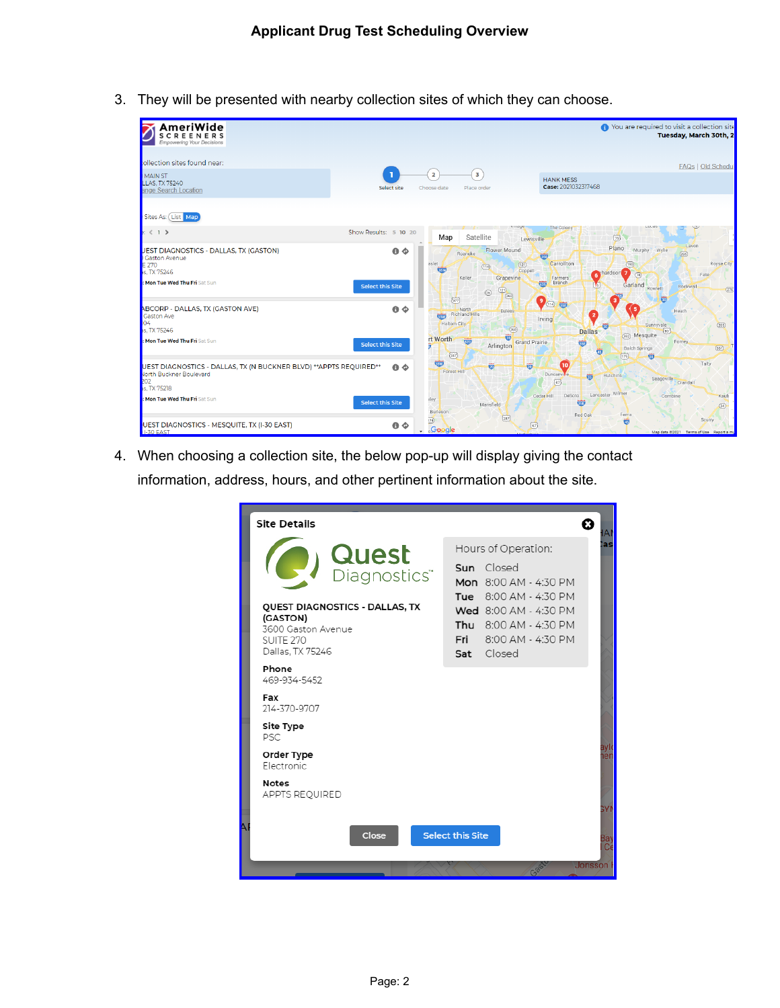3. They will be presented with nearby collection sites of which they can choose.

| AmeriWide<br>S<br>C<br>REEN<br><b>Empowering Your Decisions</b>                                                      |                         |                                                                                  |                                                                                            | • You are required to visit a collection site            | Tuesday, March 30th, 2                         |
|----------------------------------------------------------------------------------------------------------------------|-------------------------|----------------------------------------------------------------------------------|--------------------------------------------------------------------------------------------|----------------------------------------------------------|------------------------------------------------|
| tollection sites found near:<br>MAIN ST<br><b>LLAS. TX 75240</b>                                                     | Select site             | $\overline{\mathbf{3}}$<br>$\overline{\mathbf{2}}$<br>Choose date<br>Place order | <b>HANK MESS</b><br>Case: 2021032317468                                                    |                                                          | <b>FAQs   Old Schedul</b>                      |
| ange Search Location<br>Sites As: List Map                                                                           |                         |                                                                                  | vinage<br>The Colony                                                                       | Lucas                                                    |                                                |
| $\mathbf{r}$ (1)                                                                                                     | Show Results: 5 10 20   | Satellite<br>Map                                                                 | Lewisville                                                                                 | (75)                                                     |                                                |
| JEST DIAGNOSTICS - DALLAS, TX (GASTON)<br>Gaston Avenue<br>E 270<br>as, TX 75246                                     | $\bullet \diamond$      | Roanoke<br>aslet<br>(114)<br><b>EST</b>                                          | <b>Flower Mound</b><br>स्रत<br>Carrollton<br>(12)<br>Coppell                               | Plano<br>Murphy<br>Wylie<br>(190)<br>6 hardson 7<br>(78) | Lavon<br>(205)<br>Royse City<br>Fate           |
| : Mon Tue Wed Thu Fri Sat Sun                                                                                        | <b>Select this Site</b> | Keller<br>(121)<br>(26)<br>(37)                                                  | Grapevine<br><b>Farmers</b><br>Branch<br>635<br>行了<br>(360)<br>$9$ m $\frac{1}{327}$       | Garland<br>Rowlett<br>壺                                  | Rockwall<br>(276)                              |
| ABCORP - DALLAS, TX (GASTON AVE)<br>Gaston Ave<br>104<br>as, TX 75246                                                | $\bullet \diamond$      | North<br><b>Richland Hills</b><br>संज्ञा<br><b>Haltom City</b>                   | Euless<br>$\overline{\mathbf{2}}$<br>Irving<br>(360)<br><b>Dallas</b>                      | -5<br>Sunnyvale<br>壶<br>(80)                             | Heath<br>(205)                                 |
| : Mon Tue Wed Thu Fri Sat Sun                                                                                        | Select this Site        | rt Worth<br>620<br>Arlington<br>(287)                                            | 硒<br><b>Grand Prairie</b><br>壺                                                             | (352) Mesquite<br>Balch Springs<br>ত্ত<br>(175)<br>崗     | Forney<br>(557)                                |
| UEST DIAGNOSTICS - DALLAS, TX (N BUCKNER BLVD) ** APPTS REQUIRED**<br>North Buckner Boulevard<br>202<br>as, TX 75218 | $\bullet \diamond$      | 顿<br>Ø<br>Forest Hill                                                            | 壱<br>10<br>Duncanvi <sup>e</sup><br>祘<br>$\left\{ \begin{matrix} 67 \end{matrix} \right\}$ | Hutchins<br>Seagoville                                   | Talty<br>Crandall                              |
| : Mon Tue Wed Thu Fri Sat Sun                                                                                        | <b>Select this Site</b> | vley<br>Mansfield<br>Burleson                                                    | DeSoto<br>Cedar Hill<br>359<br>Red Oak                                                     | Lancaster Wilmer<br>Combine<br>Ferris                    | Kaufr<br>(34)                                  |
| UEST DIAGNOSTICS - MESQUITE, TX (I-30 EAST)<br>$\blacksquare$ I-30 EAST                                              | $\bullet \diamond$      | $\overline{174}$<br>Google                                                       | (287)<br>$\binom{67}{ }$                                                                   | 朚                                                        | Scurry<br>Map data @2021 Terms of Use Report a |

4. When choosing a collection site, the below pop-up will display giving the contact information, address, hours, and other pertinent information about the site.

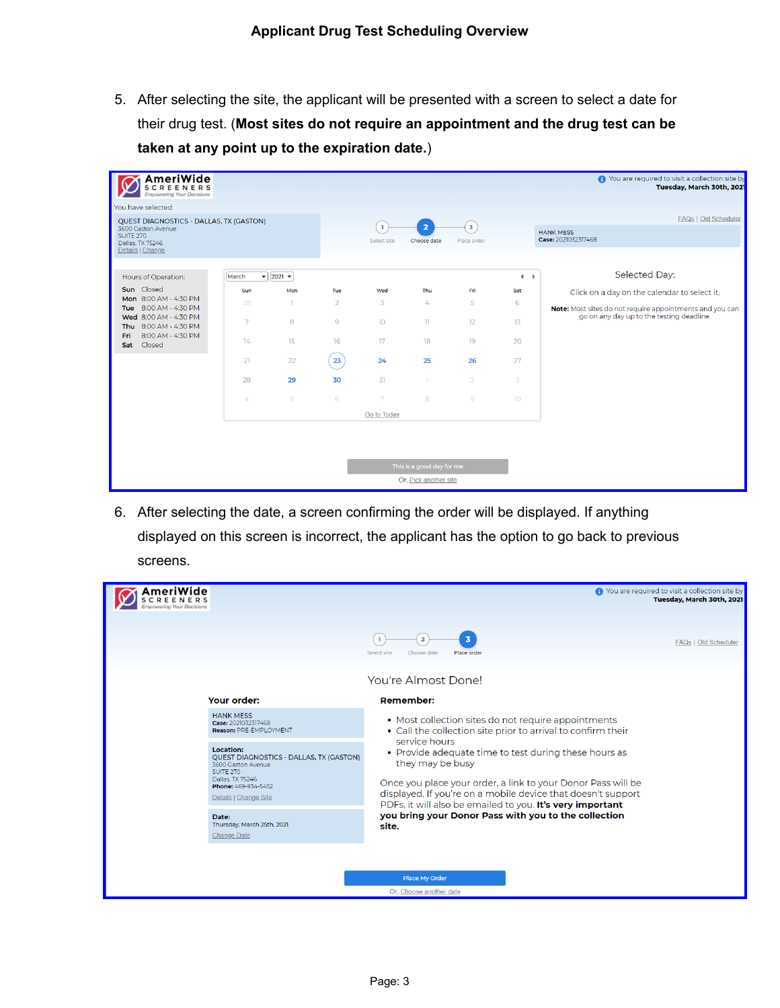5. After selecting the site, the applicant will be presented with a screen to select a date for their drug test. (**Most sites do not require an appointment and the drug test can be taken at any point up to the expiration date.**)

| AmeriWide<br><b>SCREENERS</b><br><b>Empowering Your Decisions</b>                                                  |          |                                                |                |                   |                               |                           |                 | ← You are required to visit a collection site by<br>Tuesday, March 30th, 2021 |
|--------------------------------------------------------------------------------------------------------------------|----------|------------------------------------------------|----------------|-------------------|-------------------------------|---------------------------|-----------------|-------------------------------------------------------------------------------|
| You have selected:                                                                                                 |          |                                                |                |                   |                               |                           |                 |                                                                               |
| QUEST DIAGNOSTICS - DALLAS, TX (GASTON)<br>3600 Gaston Avenue<br>SUITE 270<br>Dallas, TX 75246<br>Details   Change |          |                                                |                | n,<br>Select site | $\overline{2}$<br>Choose date | $\sqrt{3}$<br>Place order |                 | <b>FAQs</b>   Old Scheduler<br><b>HANK MESS</b><br>Case: 2021032317468        |
| Hours of Operation:                                                                                                | March    | $\blacktriangledown$ 2021 $\blacktriangledown$ |                |                   |                               |                           | $\leftarrow$    | Selected Day:                                                                 |
| Sun Closed                                                                                                         | Sun      | Mon                                            | Tue            | Wed               | Thu                           | Fri                       | Sat             | Click on a day on the calendar to select it.                                  |
| Mon 8:00 AM - 4:30 PM<br>8:00 AM - 4:30 PM<br>Tue                                                                  | 28       |                                                | $\overline{2}$ | 3                 | 4                             | 5                         | 6               | Note: Most sites do not require appointments and you can                      |
| Wed 8:00 AM - 4:30 PM<br>8:00 AM - 4:30 PM<br>Thu                                                                  | 7        | 8                                              | 9              | 10 <sup>°</sup>   | $\mathbf{u}$                  | 12                        | 13              | go on any day up to the testing deadline.                                     |
| 8:00 AM - 4:30 PM<br>Fri<br>Closed<br>Sat                                                                          | 14       | 15                                             | 16             | 17                | 18                            | 19                        | 20              |                                                                               |
|                                                                                                                    | 21       | 22                                             | 23             | 24                | 25                            | 26                        | 27              |                                                                               |
|                                                                                                                    | 28       | 29                                             | 30             | 31                | T.                            | $\overline{2}$            | 3               |                                                                               |
|                                                                                                                    | $\angle$ | 5                                              | 6              | 7                 | 8                             | 9                         | 10 <sup>°</sup> |                                                                               |
|                                                                                                                    |          |                                                |                | Go to Today       |                               |                           |                 |                                                                               |
|                                                                                                                    |          |                                                |                |                   |                               |                           |                 |                                                                               |
|                                                                                                                    |          |                                                |                |                   | This is a good day for me     |                           |                 |                                                                               |
|                                                                                                                    |          |                                                |                |                   | Or, Pick another site         |                           |                 |                                                                               |

6. After selecting the date, a screen confirming the order will be displayed. If anything displayed on this screen is incorrect, the applicant has the option to go back to previous screens.